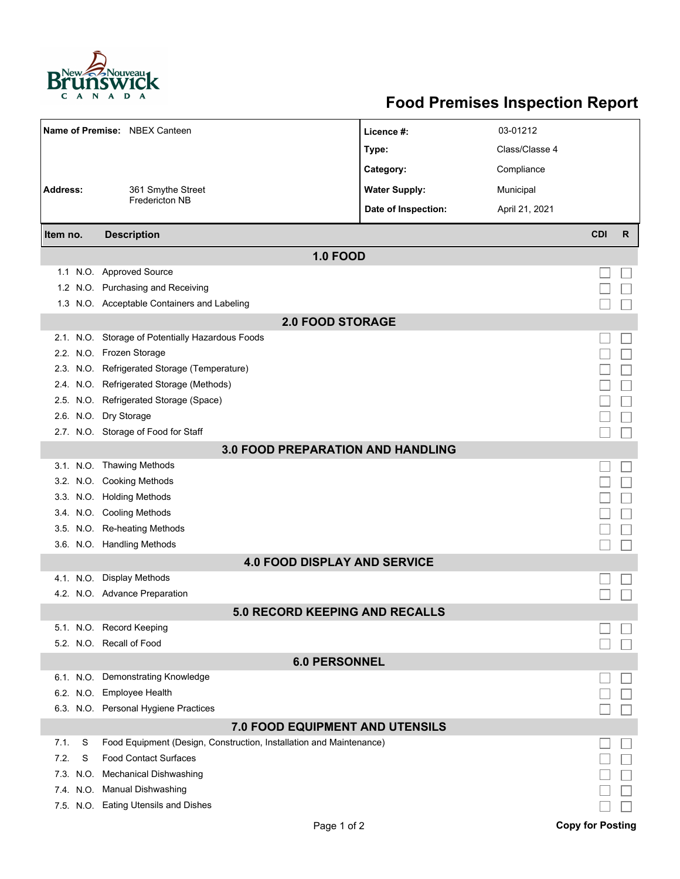

## **Food Premises Inspection Report**

|                                          |          | Name of Premise: NBEX Canteen                                       | Licence #:           | 03-01212       |            |   |  |  |  |  |
|------------------------------------------|----------|---------------------------------------------------------------------|----------------------|----------------|------------|---|--|--|--|--|
|                                          |          |                                                                     | Type:                | Class/Classe 4 |            |   |  |  |  |  |
|                                          |          |                                                                     | Category:            | Compliance     |            |   |  |  |  |  |
| <b>Address:</b>                          |          | 361 Smythe Street                                                   | <b>Water Supply:</b> | Municipal      |            |   |  |  |  |  |
|                                          |          | <b>Fredericton NB</b>                                               | Date of Inspection:  | April 21, 2021 |            |   |  |  |  |  |
|                                          |          |                                                                     |                      |                |            |   |  |  |  |  |
| Item no.                                 |          | <b>Description</b>                                                  |                      |                | <b>CDI</b> | R |  |  |  |  |
| <b>1.0 FOOD</b>                          |          |                                                                     |                      |                |            |   |  |  |  |  |
|                                          |          | 1.1 N.O. Approved Source                                            |                      |                |            |   |  |  |  |  |
|                                          |          | 1.2 N.O. Purchasing and Receiving                                   |                      |                |            |   |  |  |  |  |
|                                          |          | 1.3 N.O. Acceptable Containers and Labeling                         |                      |                |            |   |  |  |  |  |
| <b>2.0 FOOD STORAGE</b>                  |          |                                                                     |                      |                |            |   |  |  |  |  |
|                                          |          | 2.1. N.O. Storage of Potentially Hazardous Foods                    |                      |                |            |   |  |  |  |  |
|                                          |          | 2.2. N.O. Frozen Storage                                            |                      |                |            |   |  |  |  |  |
|                                          |          | 2.3. N.O. Refrigerated Storage (Temperature)                        |                      |                |            |   |  |  |  |  |
|                                          |          | 2.4. N.O. Refrigerated Storage (Methods)                            |                      |                |            |   |  |  |  |  |
|                                          |          | 2.5. N.O. Refrigerated Storage (Space)                              |                      |                |            |   |  |  |  |  |
|                                          |          | 2.6. N.O. Dry Storage                                               |                      |                |            |   |  |  |  |  |
|                                          |          | 2.7. N.O. Storage of Food for Staff                                 |                      |                |            |   |  |  |  |  |
| <b>3.0 FOOD PREPARATION AND HANDLING</b> |          |                                                                     |                      |                |            |   |  |  |  |  |
|                                          |          | 3.1. N.O. Thawing Methods                                           |                      |                |            |   |  |  |  |  |
|                                          |          | 3.2. N.O. Cooking Methods                                           |                      |                |            |   |  |  |  |  |
|                                          |          | 3.3. N.O. Holding Methods                                           |                      |                |            |   |  |  |  |  |
|                                          |          | 3.4. N.O. Cooling Methods                                           |                      |                |            |   |  |  |  |  |
|                                          |          | 3.5. N.O. Re-heating Methods                                        |                      |                |            |   |  |  |  |  |
|                                          |          | 3.6. N.O. Handling Methods                                          |                      |                |            |   |  |  |  |  |
|                                          |          | <b>4.0 FOOD DISPLAY AND SERVICE</b>                                 |                      |                |            |   |  |  |  |  |
|                                          |          | 4.1. N.O. Display Methods                                           |                      |                |            |   |  |  |  |  |
|                                          |          | 4.2. N.O. Advance Preparation                                       |                      |                |            |   |  |  |  |  |
|                                          |          | <b>5.0 RECORD KEEPING AND RECALLS</b>                               |                      |                |            |   |  |  |  |  |
|                                          |          | 5.1. N.O. Record Keeping                                            |                      |                |            |   |  |  |  |  |
|                                          |          | 5.2. N.O. Recall of Food                                            |                      |                |            |   |  |  |  |  |
| <b>6.0 PERSONNEL</b>                     |          |                                                                     |                      |                |            |   |  |  |  |  |
|                                          |          | 6.1. N.O. Demonstrating Knowledge                                   |                      |                |            |   |  |  |  |  |
|                                          |          | 6.2. N.O. Employee Health                                           |                      |                |            |   |  |  |  |  |
|                                          |          | 6.3. N.O. Personal Hygiene Practices                                |                      |                |            |   |  |  |  |  |
| 7.0 FOOD EQUIPMENT AND UTENSILS          |          |                                                                     |                      |                |            |   |  |  |  |  |
| 7.1.                                     | S        | Food Equipment (Design, Construction, Installation and Maintenance) |                      |                |            |   |  |  |  |  |
| 7.2.                                     | S        | <b>Food Contact Surfaces</b>                                        |                      |                |            |   |  |  |  |  |
|                                          | 7.3 N.O. | <b>Mechanical Dishwashing</b>                                       |                      |                |            |   |  |  |  |  |
|                                          |          | 7.4. N.O. Manual Dishwashing                                        |                      |                |            |   |  |  |  |  |
|                                          |          | 7.5. N.O. Eating Utensils and Dishes                                |                      |                |            |   |  |  |  |  |